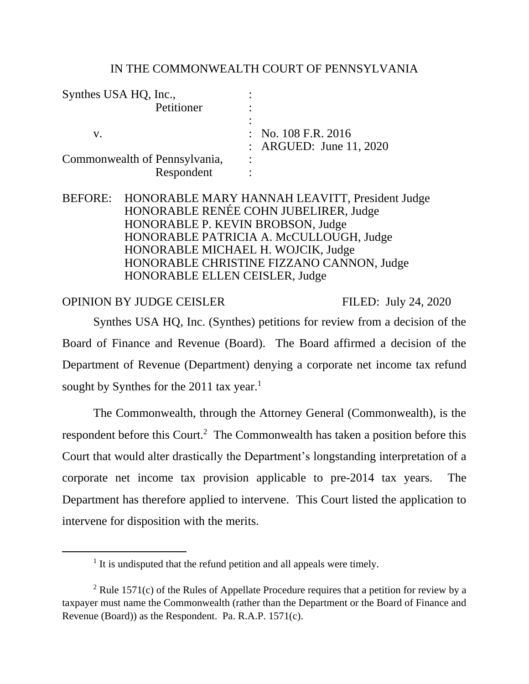#### IN THE COMMONWEALTH COURT OF PENNSYLVANIA

| Synthes USA HQ, Inc.,         |                                |
|-------------------------------|--------------------------------|
| Petitioner                    |                                |
|                               |                                |
| V.                            | $\therefore$ No. 108 F.R. 2016 |
|                               | : ARGUED: June 11, 2020        |
| Commonwealth of Pennsylvania, | $\bullet$                      |
| Respondent                    |                                |

BEFORE: HONORABLE MARY HANNAH LEAVITT, President Judge HONORABLE RENÉE COHN JUBELIRER, Judge HONORABLE P. KEVIN BROBSON, Judge HONORABLE PATRICIA A. McCULLOUGH, Judge HONORABLE MICHAEL H. WOJCIK, Judge HONORABLE CHRISTINE FIZZANO CANNON, Judge HONORABLE ELLEN CEISLER, Judge

OPINION BY JUDGE CEISLER FILED: July 24, 2020

Synthes USA HQ, Inc. (Synthes) petitions for review from a decision of the Board of Finance and Revenue (Board). The Board affirmed a decision of the Department of Revenue (Department) denying a corporate net income tax refund sought by Synthes for the 2011 tax year.<sup>1</sup>

The Commonwealth, through the Attorney General (Commonwealth), is the respondent before this Court.<sup>2</sup> The Commonwealth has taken a position before this Court that would alter drastically the Department's longstanding interpretation of a corporate net income tax provision applicable to pre-2014 tax years. The Department has therefore applied to intervene. This Court listed the application to intervene for disposition with the merits.

<sup>&</sup>lt;sup>1</sup> It is undisputed that the refund petition and all appeals were timely.

<sup>&</sup>lt;sup>2</sup> Rule 1571(c) of the Rules of Appellate Procedure requires that a petition for review by a taxpayer must name the Commonwealth (rather than the Department or the Board of Finance and Revenue (Board)) as the Respondent. Pa. R.A.P. 1571(c).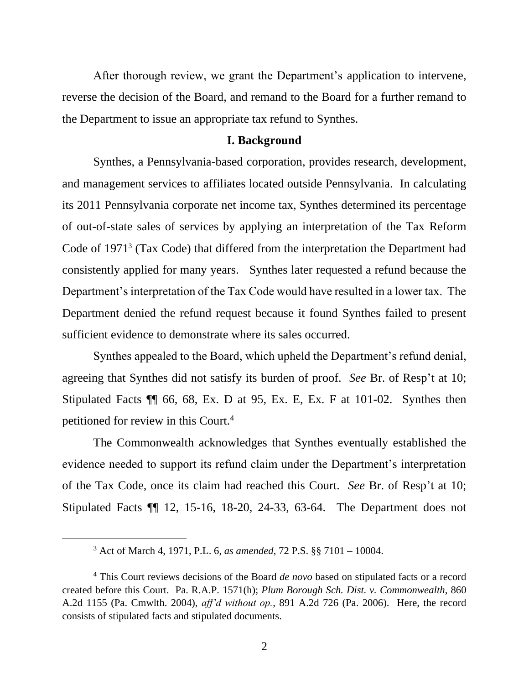After thorough review, we grant the Department's application to intervene, reverse the decision of the Board, and remand to the Board for a further remand to the Department to issue an appropriate tax refund to Synthes.

#### **I. Background**

Synthes, a Pennsylvania-based corporation, provides research, development, and management services to affiliates located outside Pennsylvania. In calculating its 2011 Pennsylvania corporate net income tax, Synthes determined its percentage of out-of-state sales of services by applying an interpretation of the Tax Reform Code of 1971<sup>3</sup> (Tax Code) that differed from the interpretation the Department had consistently applied for many years. Synthes later requested a refund because the Department's interpretation of the Tax Code would have resulted in a lower tax. The Department denied the refund request because it found Synthes failed to present sufficient evidence to demonstrate where its sales occurred.

Synthes appealed to the Board, which upheld the Department's refund denial, agreeing that Synthes did not satisfy its burden of proof. *See* Br. of Resp't at 10; Stipulated Facts ¶¶ 66, 68, Ex. D at 95, Ex. E, Ex. F at 101-02. Synthes then petitioned for review in this Court.<sup>4</sup>

The Commonwealth acknowledges that Synthes eventually established the evidence needed to support its refund claim under the Department's interpretation of the Tax Code, once its claim had reached this Court. *See* Br. of Resp't at 10; Stipulated Facts ¶¶ 12, 15-16, 18-20, 24-33, 63-64. The Department does not

<sup>3</sup> Act of March 4, 1971, P.L. 6, *as amended*, 72 P.S. §§ 7101 – 10004.

<sup>4</sup> This Court reviews decisions of the Board *de novo* based on stipulated facts or a record created before this Court. Pa. R.A.P. 1571(h); *Plum Borough Sch. Dist. v. Commonwealth*, 860 A.2d 1155 (Pa. Cmwlth. 2004), *aff'd without op.*, 891 A.2d 726 (Pa. 2006). Here, the record consists of stipulated facts and stipulated documents.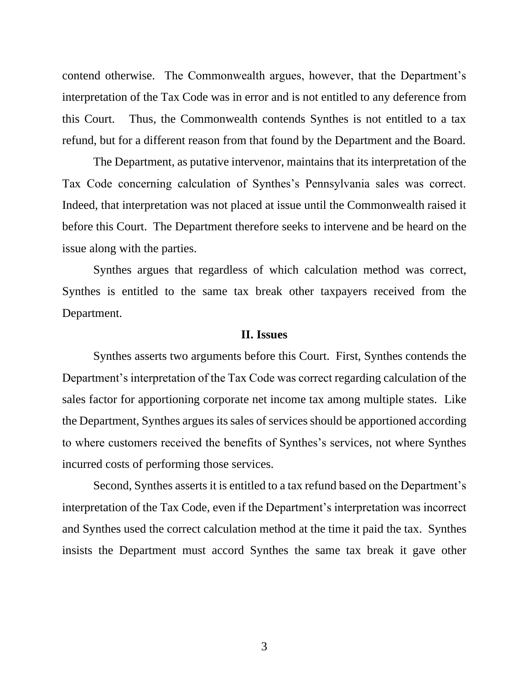contend otherwise. The Commonwealth argues, however, that the Department's interpretation of the Tax Code was in error and is not entitled to any deference from this Court. Thus, the Commonwealth contends Synthes is not entitled to a tax refund, but for a different reason from that found by the Department and the Board.

The Department, as putative intervenor, maintains that its interpretation of the Tax Code concerning calculation of Synthes's Pennsylvania sales was correct. Indeed, that interpretation was not placed at issue until the Commonwealth raised it before this Court. The Department therefore seeks to intervene and be heard on the issue along with the parties.

Synthes argues that regardless of which calculation method was correct, Synthes is entitled to the same tax break other taxpayers received from the Department.

#### **II. Issues**

Synthes asserts two arguments before this Court. First, Synthes contends the Department's interpretation of the Tax Code was correct regarding calculation of the sales factor for apportioning corporate net income tax among multiple states. Like the Department, Synthes argues its sales of services should be apportioned according to where customers received the benefits of Synthes's services, not where Synthes incurred costs of performing those services.

Second, Synthes asserts it is entitled to a tax refund based on the Department's interpretation of the Tax Code, even if the Department's interpretation was incorrect and Synthes used the correct calculation method at the time it paid the tax. Synthes insists the Department must accord Synthes the same tax break it gave other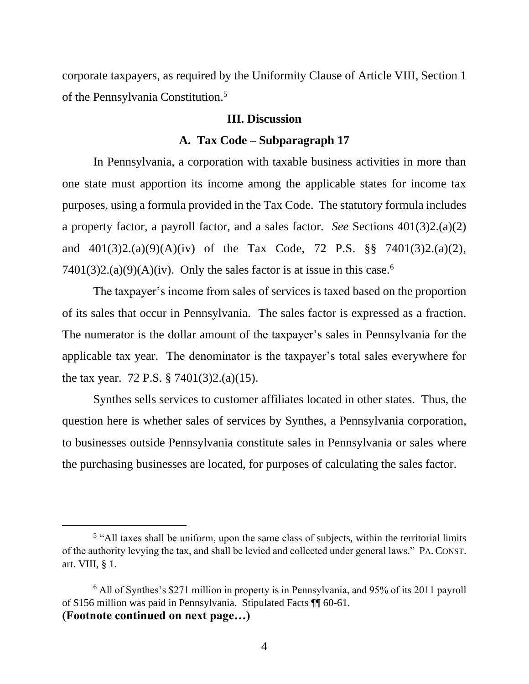corporate taxpayers, as required by the Uniformity Clause of Article VIII, Section 1 of the Pennsylvania Constitution. 5

#### **III. Discussion**

#### **A. Tax Code – Subparagraph 17**

In Pennsylvania, a corporation with taxable business activities in more than one state must apportion its income among the applicable states for income tax purposes, using a formula provided in the Tax Code. The statutory formula includes a property factor, a payroll factor, and a sales factor. *See* Sections 401(3)2.(a)(2) and 401(3)2.(a)(9)(A)(iv) of the Tax Code, 72 P.S. §§ 7401(3)2.(a)(2), 7401(3)2.(a)(9)(A)(iv). Only the sales factor is at issue in this case.<sup>6</sup>

The taxpayer's income from sales of services is taxed based on the proportion of its sales that occur in Pennsylvania. The sales factor is expressed as a fraction. The numerator is the dollar amount of the taxpayer's sales in Pennsylvania for the applicable tax year. The denominator is the taxpayer's total sales everywhere for the tax year. 72 P.S. § 7401(3)2.(a)(15).

Synthes sells services to customer affiliates located in other states. Thus, the question here is whether sales of services by Synthes, a Pennsylvania corporation, to businesses outside Pennsylvania constitute sales in Pennsylvania or sales where the purchasing businesses are located, for purposes of calculating the sales factor.

<sup>&</sup>lt;sup>5</sup> "All taxes shall be uniform, upon the same class of subjects, within the territorial limits of the authority levying the tax, and shall be levied and collected under general laws." PA. CONST. art. VIII, § 1.

<sup>6</sup> All of Synthes's \$271 million in property is in Pennsylvania, and 95% of its 2011 payroll of \$156 million was paid in Pennsylvania. Stipulated Facts ¶¶ 60-61. **(Footnote continued on next page…)**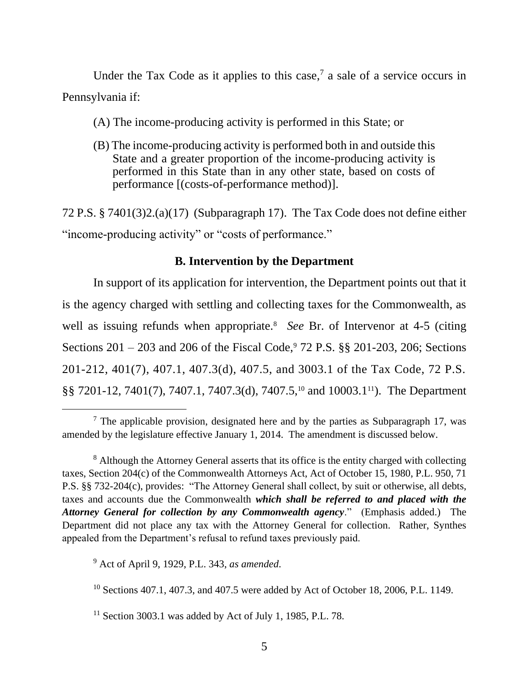Under the Tax Code as it applies to this case,<sup>7</sup> a sale of a service occurs in Pennsylvania if:

(A) The income-producing activity is performed in this State; or

(B) The income-producing activity is performed both in and outside this State and a greater proportion of the income-producing activity is performed in this State than in any other state, based on costs of performance [(costs-of-performance method)].

72 P.S. § 7401(3)2.(a)(17) (Subparagraph 17). The Tax Code does not define either "income-producing activity" or "costs of performance."

## **B. Intervention by the Department**

In support of its application for intervention, the Department points out that it is the agency charged with settling and collecting taxes for the Commonwealth, as well as issuing refunds when appropriate.<sup>8</sup> See Br. of Intervenor at 4-5 (citing Sections  $201 - 203$  and  $206$  of the Fiscal Code,  $72$  P.S. §§ 201-203, 206; Sections 201-212, 401(7), 407.1, 407.3(d), 407.5, and 3003.1 of the Tax Code, 72 P.S. §§ 7201-12, 7401(7), 7407.1, 7407.3(d), 7407.5,<sup>10</sup> and 10003.111). The Department

<sup>9</sup> Act of April 9, 1929, P.L. 343, *as amended*.

<sup>10</sup> Sections 407.1, 407.3, and 407.5 were added by Act of October 18, 2006, P.L. 1149.

 $11$  Section 3003.1 was added by Act of July 1, 1985, P.L. 78.

 $<sup>7</sup>$  The applicable provision, designated here and by the parties as Subparagraph 17, was</sup> amended by the legislature effective January 1, 2014. The amendment is discussed below.

<sup>&</sup>lt;sup>8</sup> Although the Attorney General asserts that its office is the entity charged with collecting taxes, Section 204(c) of the Commonwealth Attorneys Act, Act of October 15, 1980, P.L. 950, 71 P.S. §§ 732-204(c), provides: "The Attorney General shall collect, by suit or otherwise, all debts, taxes and accounts due the Commonwealth *which shall be referred to and placed with the Attorney General for collection by any Commonwealth agency*." (Emphasis added.) The Department did not place any tax with the Attorney General for collection. Rather, Synthes appealed from the Department's refusal to refund taxes previously paid.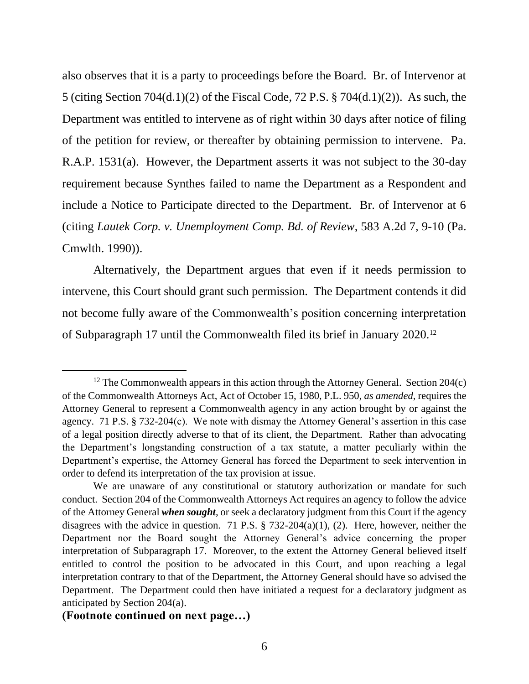also observes that it is a party to proceedings before the Board. Br. of Intervenor at 5 (citing Section 704(d.1)(2) of the Fiscal Code, 72 P.S. § 704(d.1)(2)). As such, the Department was entitled to intervene as of right within 30 days after notice of filing of the petition for review, or thereafter by obtaining permission to intervene. Pa. R.A.P. 1531(a). However, the Department asserts it was not subject to the 30-day requirement because Synthes failed to name the Department as a Respondent and include a Notice to Participate directed to the Department. Br. of Intervenor at 6 (citing *Lautek Corp. v. Unemployment Comp. Bd. of Review*, 583 A.2d 7, 9-10 (Pa. Cmwlth. 1990)).

Alternatively, the Department argues that even if it needs permission to intervene, this Court should grant such permission. The Department contends it did not become fully aware of the Commonwealth's position concerning interpretation of Subparagraph 17 until the Commonwealth filed its brief in January 2020.<sup>12</sup>

<sup>&</sup>lt;sup>12</sup> The Commonwealth appears in this action through the Attorney General. Section  $204(c)$ of the Commonwealth Attorneys Act, Act of October 15, 1980, P.L. 950, *as amended*, requires the Attorney General to represent a Commonwealth agency in any action brought by or against the agency. 71 P.S. § 732-204(c). We note with dismay the Attorney General's assertion in this case of a legal position directly adverse to that of its client, the Department. Rather than advocating the Department's longstanding construction of a tax statute, a matter peculiarly within the Department's expertise, the Attorney General has forced the Department to seek intervention in order to defend its interpretation of the tax provision at issue.

We are unaware of any constitutional or statutory authorization or mandate for such conduct. Section 204 of the Commonwealth Attorneys Act requires an agency to follow the advice of the Attorney General *when sought*, or seek a declaratory judgment from this Court if the agency disagrees with the advice in question. 71 P.S.  $\S$  732-204(a)(1), (2). Here, however, neither the Department nor the Board sought the Attorney General's advice concerning the proper interpretation of Subparagraph 17. Moreover, to the extent the Attorney General believed itself entitled to control the position to be advocated in this Court, and upon reaching a legal interpretation contrary to that of the Department, the Attorney General should have so advised the Department. The Department could then have initiated a request for a declaratory judgment as anticipated by Section 204(a).

**<sup>(</sup>Footnote continued on next page…)**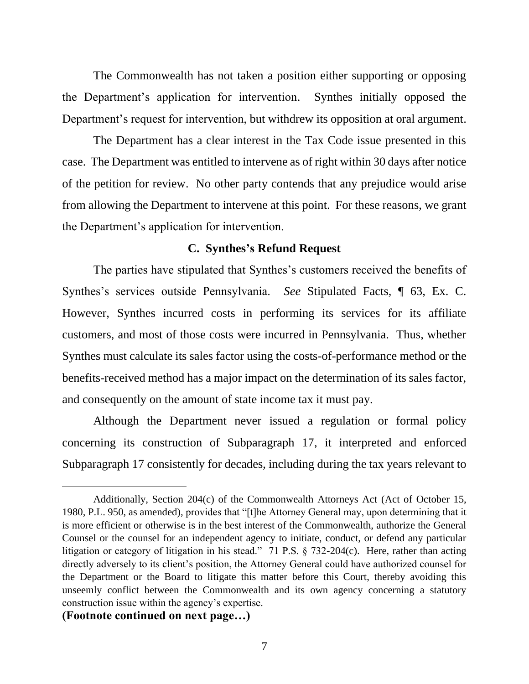The Commonwealth has not taken a position either supporting or opposing the Department's application for intervention. Synthes initially opposed the Department's request for intervention, but withdrew its opposition at oral argument.

The Department has a clear interest in the Tax Code issue presented in this case. The Department was entitled to intervene as of right within 30 days after notice of the petition for review. No other party contends that any prejudice would arise from allowing the Department to intervene at this point. For these reasons, we grant the Department's application for intervention.

#### **C. Synthes's Refund Request**

The parties have stipulated that Synthes's customers received the benefits of Synthes's services outside Pennsylvania. *See* Stipulated Facts, ¶ 63, Ex. C. However, Synthes incurred costs in performing its services for its affiliate customers, and most of those costs were incurred in Pennsylvania. Thus, whether Synthes must calculate its sales factor using the costs-of-performance method or the benefits-received method has a major impact on the determination of its sales factor, and consequently on the amount of state income tax it must pay.

Although the Department never issued a regulation or formal policy concerning its construction of Subparagraph 17, it interpreted and enforced Subparagraph 17 consistently for decades, including during the tax years relevant to

#### **(Footnote continued on next page…)**

Additionally, Section 204(c) of the Commonwealth Attorneys Act (Act of October 15, 1980, P.L. 950, as amended), provides that "[t]he Attorney General may, upon determining that it is more efficient or otherwise is in the best interest of the Commonwealth, authorize the General Counsel or the counsel for an independent agency to initiate, conduct, or defend any particular litigation or category of litigation in his stead." 71 P.S. § 732-204(c). Here, rather than acting directly adversely to its client's position, the Attorney General could have authorized counsel for the Department or the Board to litigate this matter before this Court, thereby avoiding this unseemly conflict between the Commonwealth and its own agency concerning a statutory construction issue within the agency's expertise.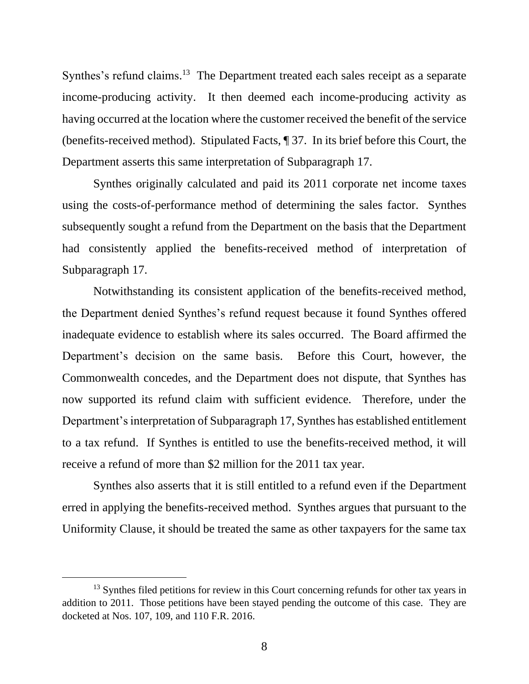Synthes's refund claims.<sup>13</sup> The Department treated each sales receipt as a separate income-producing activity. It then deemed each income-producing activity as having occurred at the location where the customer received the benefit of the service (benefits-received method). Stipulated Facts, ¶ 37. In its brief before this Court, the Department asserts this same interpretation of Subparagraph 17.

Synthes originally calculated and paid its 2011 corporate net income taxes using the costs-of-performance method of determining the sales factor. Synthes subsequently sought a refund from the Department on the basis that the Department had consistently applied the benefits-received method of interpretation of Subparagraph 17.

Notwithstanding its consistent application of the benefits-received method, the Department denied Synthes's refund request because it found Synthes offered inadequate evidence to establish where its sales occurred. The Board affirmed the Department's decision on the same basis. Before this Court, however, the Commonwealth concedes, and the Department does not dispute, that Synthes has now supported its refund claim with sufficient evidence. Therefore, under the Department's interpretation of Subparagraph 17, Synthes has established entitlement to a tax refund. If Synthes is entitled to use the benefits-received method, it will receive a refund of more than \$2 million for the 2011 tax year.

Synthes also asserts that it is still entitled to a refund even if the Department erred in applying the benefits-received method. Synthes argues that pursuant to the Uniformity Clause, it should be treated the same as other taxpayers for the same tax

 $13$  Synthes filed petitions for review in this Court concerning refunds for other tax years in addition to 2011. Those petitions have been stayed pending the outcome of this case. They are docketed at Nos. 107, 109, and 110 F.R. 2016.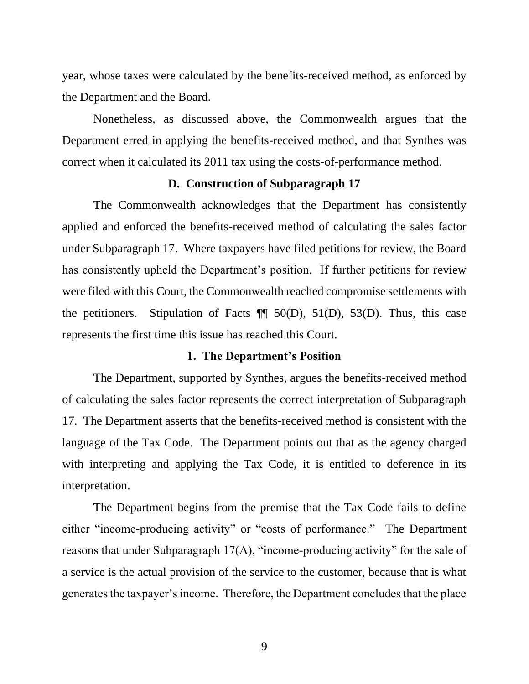year, whose taxes were calculated by the benefits-received method, as enforced by the Department and the Board.

Nonetheless, as discussed above, the Commonwealth argues that the Department erred in applying the benefits-received method, and that Synthes was correct when it calculated its 2011 tax using the costs-of-performance method.

#### **D. Construction of Subparagraph 17**

The Commonwealth acknowledges that the Department has consistently applied and enforced the benefits-received method of calculating the sales factor under Subparagraph 17. Where taxpayers have filed petitions for review, the Board has consistently upheld the Department's position. If further petitions for review were filed with this Court, the Commonwealth reached compromise settlements with the petitioners. Stipulation of Facts  $\P$  50(D), 51(D), 53(D). Thus, this case represents the first time this issue has reached this Court.

#### **1. The Department's Position**

The Department, supported by Synthes, argues the benefits-received method of calculating the sales factor represents the correct interpretation of Subparagraph 17. The Department asserts that the benefits-received method is consistent with the language of the Tax Code. The Department points out that as the agency charged with interpreting and applying the Tax Code, it is entitled to deference in its interpretation.

The Department begins from the premise that the Tax Code fails to define either "income-producing activity" or "costs of performance." The Department reasons that under Subparagraph 17(A), "income-producing activity" for the sale of a service is the actual provision of the service to the customer, because that is what generates the taxpayer's income. Therefore, the Department concludes that the place

9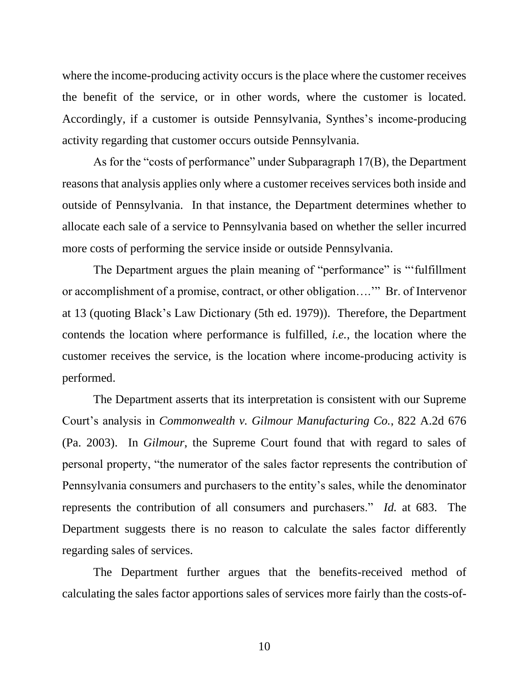where the income-producing activity occurs is the place where the customer receives the benefit of the service, or in other words, where the customer is located. Accordingly, if a customer is outside Pennsylvania, Synthes's income-producing activity regarding that customer occurs outside Pennsylvania.

As for the "costs of performance" under Subparagraph 17(B), the Department reasons that analysis applies only where a customer receives services both inside and outside of Pennsylvania. In that instance, the Department determines whether to allocate each sale of a service to Pennsylvania based on whether the seller incurred more costs of performing the service inside or outside Pennsylvania.

The Department argues the plain meaning of "performance" is "'fulfillment or accomplishment of a promise, contract, or other obligation….'" Br. of Intervenor at 13 (quoting Black's Law Dictionary (5th ed. 1979)). Therefore, the Department contends the location where performance is fulfilled, *i.e.*, the location where the customer receives the service, is the location where income-producing activity is performed.

The Department asserts that its interpretation is consistent with our Supreme Court's analysis in *Commonwealth v. Gilmour Manufacturing Co.*, 822 A.2d 676 (Pa. 2003). In *Gilmour*, the Supreme Court found that with regard to sales of personal property, "the numerator of the sales factor represents the contribution of Pennsylvania consumers and purchasers to the entity's sales, while the denominator represents the contribution of all consumers and purchasers." *Id.* at 683. The Department suggests there is no reason to calculate the sales factor differently regarding sales of services.

The Department further argues that the benefits-received method of calculating the sales factor apportions sales of services more fairly than the costs-of-

10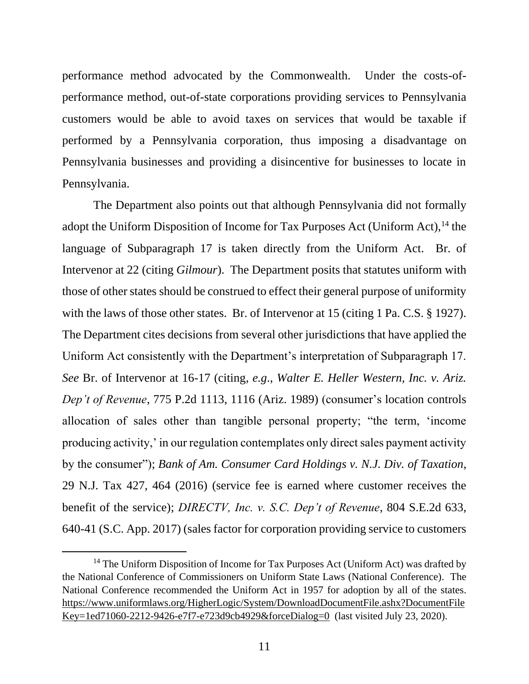performance method advocated by the Commonwealth. Under the costs-ofperformance method, out-of-state corporations providing services to Pennsylvania customers would be able to avoid taxes on services that would be taxable if performed by a Pennsylvania corporation, thus imposing a disadvantage on Pennsylvania businesses and providing a disincentive for businesses to locate in Pennsylvania.

The Department also points out that although Pennsylvania did not formally adopt the Uniform Disposition of Income for Tax Purposes Act (Uniform Act),<sup>14</sup> the language of Subparagraph 17 is taken directly from the Uniform Act. Br. of Intervenor at 22 (citing *Gilmour*). The Department posits that statutes uniform with those of other states should be construed to effect their general purpose of uniformity with the laws of those other states. Br. of Intervenor at 15 (citing 1 Pa. C.S. § 1927). The Department cites decisions from several other jurisdictions that have applied the Uniform Act consistently with the Department's interpretation of Subparagraph 17. *See* Br. of Intervenor at 16-17 (citing, *e.g*., *Walter E. Heller Western, Inc. v. Ariz. Dep't of Revenue*, 775 P.2d 1113, 1116 (Ariz. 1989) (consumer's location controls allocation of sales other than tangible personal property; "the term, 'income producing activity,' in our regulation contemplates only direct sales payment activity by the consumer"); *Bank of Am. Consumer Card Holdings v. N.J. Div. of Taxation*, 29 N.J. Tax 427, 464 (2016) (service fee is earned where customer receives the benefit of the service); *DIRECTV, Inc. v. S.C. Dep't of Revenue*, 804 S.E.2d 633, 640-41 (S.C. App. 2017) (sales factor for corporation providing service to customers

<sup>&</sup>lt;sup>14</sup> The Uniform Disposition of Income for Tax Purposes Act (Uniform Act) was drafted by the National Conference of Commissioners on Uniform State Laws (National Conference). The National Conference recommended the Uniform Act in 1957 for adoption by all of the states. [https://www.uniformlaws.org/HigherLogic/System/DownloadDocumentFile.ashx?DocumentFile](https://www.uniformlaws.org/HigherLogic/System/DownloadDocumentFile.ashx?DocumentFileKey=1ed71060-2212-9426-e7f7-e723d9cb4929&forceDialog=0) [Key=1ed71060-2212-9426-e7f7-e723d9cb4929&forceDialog=0](https://www.uniformlaws.org/HigherLogic/System/DownloadDocumentFile.ashx?DocumentFileKey=1ed71060-2212-9426-e7f7-e723d9cb4929&forceDialog=0) (last visited July 23, 2020).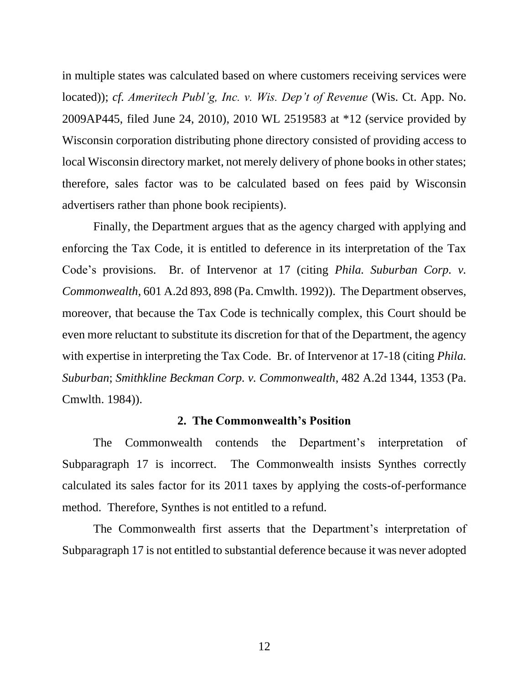in multiple states was calculated based on where customers receiving services were located)); *cf. Ameritech Publ'g, Inc. v. Wis. Dep't of Revenue* (Wis. Ct. App. No. 2009AP445, filed June 24, 2010), 2010 WL 2519583 at \*12 (service provided by Wisconsin corporation distributing phone directory consisted of providing access to local Wisconsin directory market, not merely delivery of phone books in other states; therefore, sales factor was to be calculated based on fees paid by Wisconsin advertisers rather than phone book recipients).

Finally, the Department argues that as the agency charged with applying and enforcing the Tax Code, it is entitled to deference in its interpretation of the Tax Code's provisions. Br. of Intervenor at 17 (citing *Phila. Suburban Corp. v. Commonwealth*, 601 A.2d 893, 898 (Pa. Cmwlth. 1992)). The Department observes, moreover, that because the Tax Code is technically complex, this Court should be even more reluctant to substitute its discretion for that of the Department, the agency with expertise in interpreting the Tax Code. Br. of Intervenor at 17-18 (citing *Phila. Suburban*; *Smithkline Beckman Corp. v. Commonwealth*, 482 A.2d 1344, 1353 (Pa. Cmwlth. 1984)).

#### **2. The Commonwealth's Position**

The Commonwealth contends the Department's interpretation of Subparagraph 17 is incorrect. The Commonwealth insists Synthes correctly calculated its sales factor for its 2011 taxes by applying the costs-of-performance method. Therefore, Synthes is not entitled to a refund.

The Commonwealth first asserts that the Department's interpretation of Subparagraph 17 is not entitled to substantial deference because it was never adopted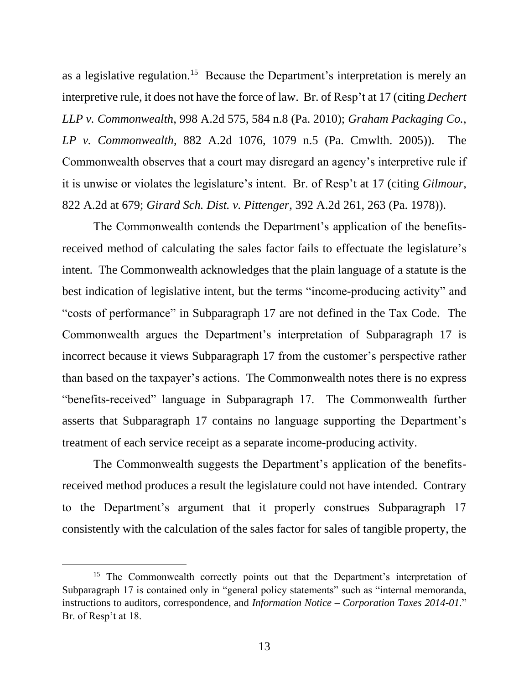as a legislative regulation.<sup>15</sup> Because the Department's interpretation is merely an interpretive rule, it does not have the force of law. Br. of Resp't at 17 (citing *Dechert LLP v. Commonwealth*, 998 A.2d 575, 584 n.8 (Pa. 2010); *Graham Packaging Co., LP v. Commonwealth*, 882 A.2d 1076, 1079 n.5 (Pa. Cmwlth. 2005)). The Commonwealth observes that a court may disregard an agency's interpretive rule if it is unwise or violates the legislature's intent. Br. of Resp't at 17 (citing *Gilmour*, 822 A.2d at 679; *Girard Sch. Dist. v. Pittenger*, 392 A.2d 261, 263 (Pa. 1978)).

The Commonwealth contends the Department's application of the benefitsreceived method of calculating the sales factor fails to effectuate the legislature's intent. The Commonwealth acknowledges that the plain language of a statute is the best indication of legislative intent, but the terms "income-producing activity" and "costs of performance" in Subparagraph 17 are not defined in the Tax Code. The Commonwealth argues the Department's interpretation of Subparagraph 17 is incorrect because it views Subparagraph 17 from the customer's perspective rather than based on the taxpayer's actions. The Commonwealth notes there is no express "benefits-received" language in Subparagraph 17. The Commonwealth further asserts that Subparagraph 17 contains no language supporting the Department's treatment of each service receipt as a separate income-producing activity.

The Commonwealth suggests the Department's application of the benefitsreceived method produces a result the legislature could not have intended. Contrary to the Department's argument that it properly construes Subparagraph 17 consistently with the calculation of the sales factor for sales of tangible property, the

<sup>&</sup>lt;sup>15</sup> The Commonwealth correctly points out that the Department's interpretation of Subparagraph 17 is contained only in "general policy statements" such as "internal memoranda, instructions to auditors, correspondence, and *Information Notice – Corporation Taxes 2014-01*." Br. of Resp't at 18.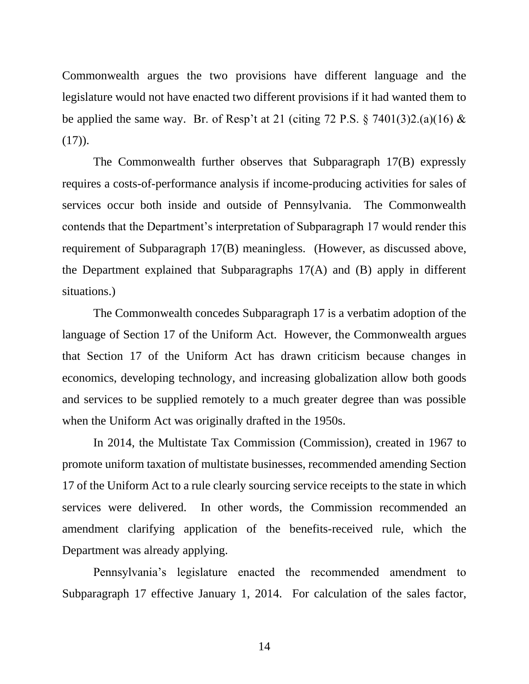Commonwealth argues the two provisions have different language and the legislature would not have enacted two different provisions if it had wanted them to be applied the same way. Br. of Resp't at 21 (citing 72 P.S.  $\S$  7401(3)2.(a)(16) &  $(17)$ ).

The Commonwealth further observes that Subparagraph 17(B) expressly requires a costs-of-performance analysis if income-producing activities for sales of services occur both inside and outside of Pennsylvania. The Commonwealth contends that the Department's interpretation of Subparagraph 17 would render this requirement of Subparagraph 17(B) meaningless. (However, as discussed above, the Department explained that Subparagraphs 17(A) and (B) apply in different situations.)

The Commonwealth concedes Subparagraph 17 is a verbatim adoption of the language of Section 17 of the Uniform Act. However, the Commonwealth argues that Section 17 of the Uniform Act has drawn criticism because changes in economics, developing technology, and increasing globalization allow both goods and services to be supplied remotely to a much greater degree than was possible when the Uniform Act was originally drafted in the 1950s.

In 2014, the Multistate Tax Commission (Commission), created in 1967 to promote uniform taxation of multistate businesses, recommended amending Section 17 of the Uniform Act to a rule clearly sourcing service receipts to the state in which services were delivered. In other words, the Commission recommended an amendment clarifying application of the benefits-received rule, which the Department was already applying.

Pennsylvania's legislature enacted the recommended amendment to Subparagraph 17 effective January 1, 2014. For calculation of the sales factor,

14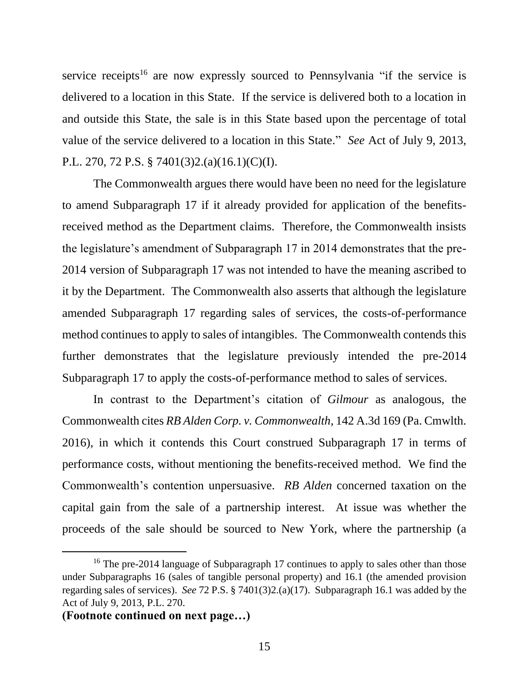service receipts<sup>16</sup> are now expressly sourced to Pennsylvania "if the service is delivered to a location in this State. If the service is delivered both to a location in and outside this State, the sale is in this State based upon the percentage of total value of the service delivered to a location in this State." *See* Act of July 9, 2013, P.L. 270, 72 P.S. § 7401(3)2.(a)(16.1)(C)(I).

The Commonwealth argues there would have been no need for the legislature to amend Subparagraph 17 if it already provided for application of the benefitsreceived method as the Department claims. Therefore, the Commonwealth insists the legislature's amendment of Subparagraph 17 in 2014 demonstrates that the pre-2014 version of Subparagraph 17 was not intended to have the meaning ascribed to it by the Department. The Commonwealth also asserts that although the legislature amended Subparagraph 17 regarding sales of services, the costs-of-performance method continues to apply to sales of intangibles. The Commonwealth contends this further demonstrates that the legislature previously intended the pre-2014 Subparagraph 17 to apply the costs-of-performance method to sales of services.

In contrast to the Department's citation of *Gilmour* as analogous, the Commonwealth cites *RB Alden Corp. v. Commonwealth*, 142 A.3d 169 (Pa. Cmwlth. 2016), in which it contends this Court construed Subparagraph 17 in terms of performance costs, without mentioning the benefits-received method. We find the Commonwealth's contention unpersuasive. *RB Alden* concerned taxation on the capital gain from the sale of a partnership interest. At issue was whether the proceeds of the sale should be sourced to New York, where the partnership (a

<sup>&</sup>lt;sup>16</sup> The pre-2014 language of Subparagraph 17 continues to apply to sales other than those under Subparagraphs 16 (sales of tangible personal property) and 16.1 (the amended provision regarding sales of services). *See* 72 P.S. § 7401(3)2.(a)(17). Subparagraph 16.1 was added by the Act of July 9, 2013, P.L. 270.

**<sup>(</sup>Footnote continued on next page…)**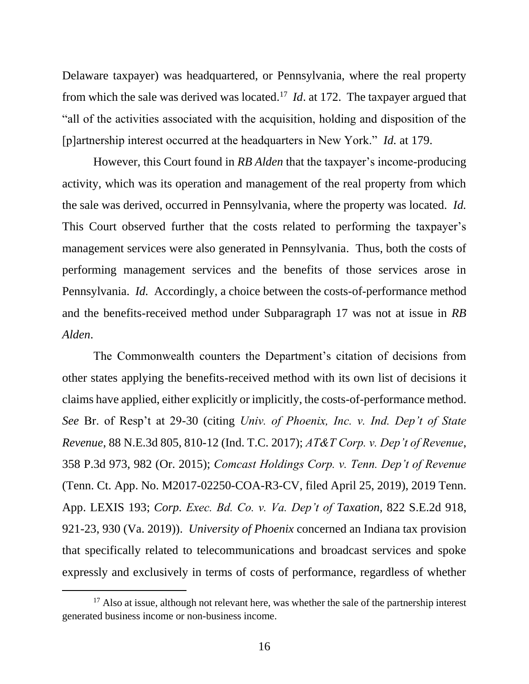Delaware taxpayer) was headquartered, or Pennsylvania, where the real property from which the sale was derived was located. 17 *Id*. at 172. The taxpayer argued that "all of the activities associated with the acquisition, holding and disposition of the [p]artnership interest occurred at the headquarters in New York." *Id.* at 179.

However, this Court found in *RB Alden* that the taxpayer's income-producing activity, which was its operation and management of the real property from which the sale was derived, occurred in Pennsylvania, where the property was located. *Id.* This Court observed further that the costs related to performing the taxpayer's management services were also generated in Pennsylvania. Thus, both the costs of performing management services and the benefits of those services arose in Pennsylvania. *Id.* Accordingly, a choice between the costs-of-performance method and the benefits-received method under Subparagraph 17 was not at issue in *RB Alden*.

The Commonwealth counters the Department's citation of decisions from other states applying the benefits-received method with its own list of decisions it claims have applied, either explicitly or implicitly, the costs-of-performance method. *See* Br. of Resp't at 29-30 (citing *Univ. of Phoenix, Inc. v. Ind. Dep't of State Revenue*, 88 N.E.3d 805, 810-12 (Ind. T.C. 2017); *AT&T Corp. v. Dep't of Revenue*, 358 P.3d 973, 982 (Or. 2015); *Comcast Holdings Corp. v. Tenn. Dep't of Revenue* (Tenn. Ct. App. No. M2017-02250-COA-R3-CV, filed April 25, 2019), 2019 Tenn. App. LEXIS 193; *Corp. Exec. Bd. Co. v. Va. Dep't of Taxation*, 822 S.E.2d 918, 921-23, 930 (Va. 2019)). *University of Phoenix* concerned an Indiana tax provision that specifically related to telecommunications and broadcast services and spoke expressly and exclusively in terms of costs of performance, regardless of whether

 $17$  Also at issue, although not relevant here, was whether the sale of the partnership interest generated business income or non-business income.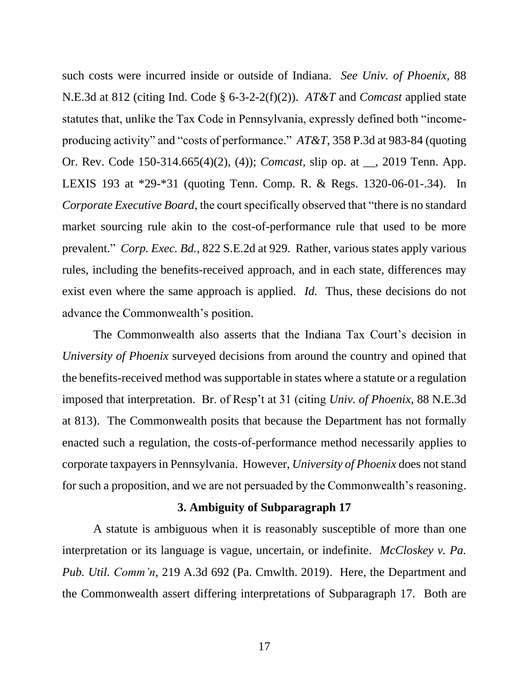such costs were incurred inside or outside of Indiana. *See Univ. of Phoenix*, 88 N.E.3d at 812 (citing Ind. Code § 6-3-2-2(f)(2)). *AT&T* and *Comcast* applied state statutes that, unlike the Tax Code in Pennsylvania, expressly defined both "incomeproducing activity" and "costs of performance." *AT&T*, 358 P.3d at 983-84 (quoting Or. Rev. Code 150-314.665(4)(2), (4)); *Comcast*, slip op. at \_\_, 2019 Tenn. App. LEXIS 193 at \*29-\*31 (quoting Tenn. Comp. R. & Regs. 1320-06-01-.34). In *Corporate Executive Board*, the court specifically observed that "there is no standard market sourcing rule akin to the cost-of-performance rule that used to be more prevalent." *Corp. Exec. Bd.*, 822 S.E.2d at 929. Rather, various states apply various rules, including the benefits-received approach, and in each state, differences may exist even where the same approach is applied. *Id.* Thus, these decisions do not advance the Commonwealth's position.

The Commonwealth also asserts that the Indiana Tax Court's decision in *University of Phoenix* surveyed decisions from around the country and opined that the benefits-received method was supportable in states where a statute or a regulation imposed that interpretation. Br. of Resp't at 31 (citing *Univ. of Phoenix*, 88 N.E.3d at 813). The Commonwealth posits that because the Department has not formally enacted such a regulation, the costs-of-performance method necessarily applies to corporate taxpayersin Pennsylvania. However, *University of Phoenix* does not stand for such a proposition, and we are not persuaded by the Commonwealth's reasoning.

#### **3. Ambiguity of Subparagraph 17**

A statute is ambiguous when it is reasonably susceptible of more than one interpretation or its language is vague, uncertain, or indefinite. *McCloskey v. Pa. Pub. Util. Comm'n*, 219 A.3d 692 (Pa. Cmwlth. 2019). Here, the Department and the Commonwealth assert differing interpretations of Subparagraph 17. Both are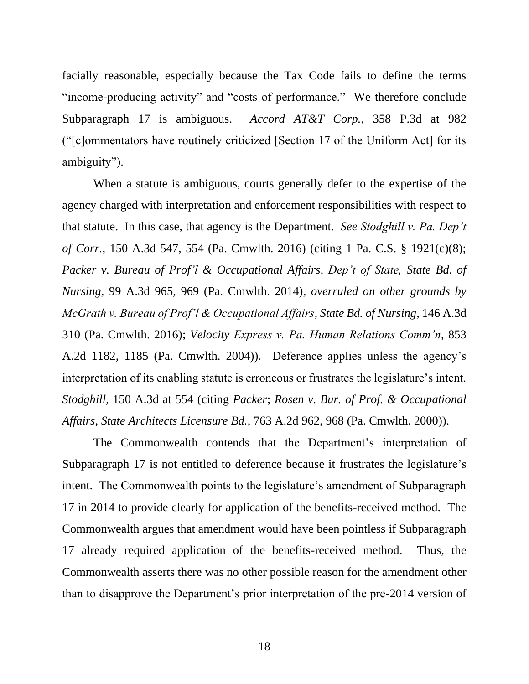facially reasonable, especially because the Tax Code fails to define the terms "income-producing activity" and "costs of performance." We therefore conclude Subparagraph 17 is ambiguous. *Accord AT&T Corp.*, 358 P.3d at 982 ("[c]ommentators have routinely criticized [Section 17 of the Uniform Act] for its ambiguity").

When a statute is ambiguous, courts generally defer to the expertise of the agency charged with interpretation and enforcement responsibilities with respect to that statute. In this case, that agency is the Department. *See Stodghill v. Pa. Dep't of Corr.*, 150 A.3d 547, 554 (Pa. Cmwlth. 2016) (citing 1 Pa. C.S. § 1921(c)(8); *Packer v. Bureau of Prof'l & Occupational Affairs, Dep't of State, State Bd. of Nursing*, 99 A.3d 965, 969 (Pa. Cmwlth. 2014), *overruled on other grounds by McGrath v. Bureau of Prof'l & Occupational Affairs, State Bd. of Nursing*, 146 A.3d 310 (Pa. Cmwlth. 2016); *Velocity Express v. Pa. Human Relations Comm'n*, 853 A.2d 1182, 1185 (Pa. Cmwlth. 2004)). Deference applies unless the agency's interpretation of its enabling statute is erroneous or frustrates the legislature's intent. *Stodghill*, 150 A.3d at 554 (citing *Packer*; *Rosen v. Bur. of Prof. & Occupational Affairs, State Architects Licensure Bd.*, 763 A.2d 962, 968 (Pa. Cmwlth. 2000)).

The Commonwealth contends that the Department's interpretation of Subparagraph 17 is not entitled to deference because it frustrates the legislature's intent. The Commonwealth points to the legislature's amendment of Subparagraph 17 in 2014 to provide clearly for application of the benefits-received method. The Commonwealth argues that amendment would have been pointless if Subparagraph 17 already required application of the benefits-received method. Thus, the Commonwealth asserts there was no other possible reason for the amendment other than to disapprove the Department's prior interpretation of the pre-2014 version of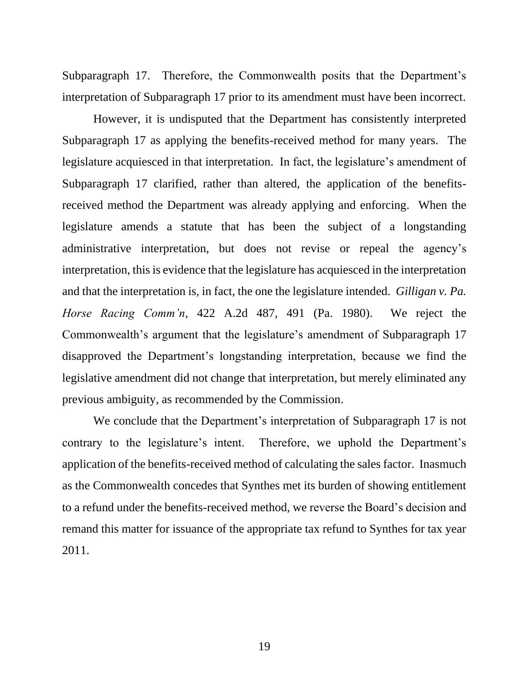Subparagraph 17. Therefore, the Commonwealth posits that the Department's interpretation of Subparagraph 17 prior to its amendment must have been incorrect.

However, it is undisputed that the Department has consistently interpreted Subparagraph 17 as applying the benefits-received method for many years. The legislature acquiesced in that interpretation. In fact, the legislature's amendment of Subparagraph 17 clarified, rather than altered, the application of the benefitsreceived method the Department was already applying and enforcing. When the legislature amends a statute that has been the subject of a longstanding administrative interpretation, but does not revise or repeal the agency's interpretation, this is evidence that the legislature has acquiesced in the interpretation and that the interpretation is, in fact, the one the legislature intended. *Gilligan v. Pa. Horse Racing Comm'n*, 422 A.2d 487, 491 (Pa. 1980). We reject the Commonwealth's argument that the legislature's amendment of Subparagraph 17 disapproved the Department's longstanding interpretation, because we find the legislative amendment did not change that interpretation, but merely eliminated any previous ambiguity, as recommended by the Commission.

We conclude that the Department's interpretation of Subparagraph 17 is not contrary to the legislature's intent. Therefore, we uphold the Department's application of the benefits-received method of calculating the sales factor. Inasmuch as the Commonwealth concedes that Synthes met its burden of showing entitlement to a refund under the benefits-received method, we reverse the Board's decision and remand this matter for issuance of the appropriate tax refund to Synthes for tax year 2011.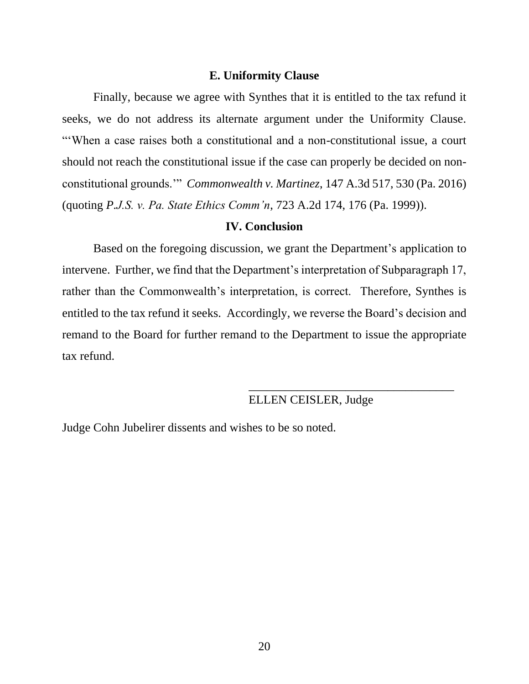#### **E. Uniformity Clause**

Finally, because we agree with Synthes that it is entitled to the tax refund it seeks, we do not address its alternate argument under the Uniformity Clause. "'When a case raises both a constitutional and a non-constitutional issue, a court should not reach the constitutional issue if the case can properly be decided on nonconstitutional grounds.'" *Commonwealth v. Martinez*, 147 A.3d 517, 530 (Pa. 2016) (quoting *P.J.S. v. Pa. State Ethics Comm'n*, 723 A.2d 174, 176 (Pa. 1999)).

#### **IV. Conclusion**

Based on the foregoing discussion, we grant the Department's application to intervene. Further, we find that the Department's interpretation of Subparagraph 17, rather than the Commonwealth's interpretation, is correct. Therefore, Synthes is entitled to the tax refund it seeks. Accordingly, we reverse the Board's decision and remand to the Board for further remand to the Department to issue the appropriate tax refund.

# ELLEN CEISLER, Judge

\_\_\_\_\_\_\_\_\_\_\_\_\_\_\_\_\_\_\_\_\_\_\_\_\_\_\_\_\_\_\_\_\_\_

Judge Cohn Jubelirer dissents and wishes to be so noted.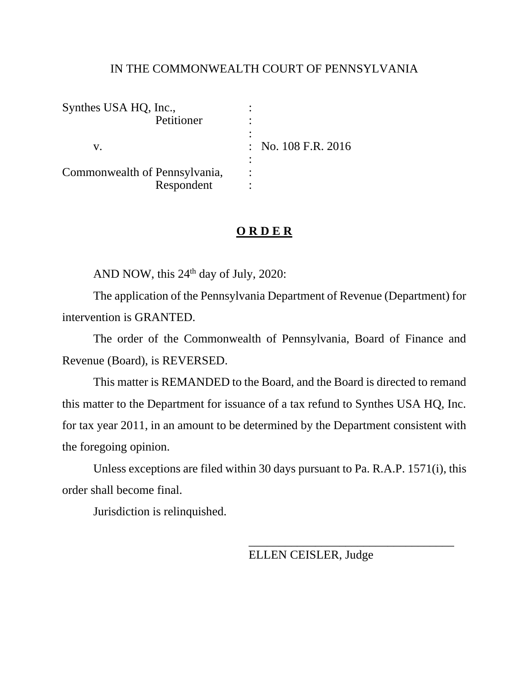## IN THE COMMONWEALTH COURT OF PENNSYLVANIA

| Synthes USA HQ, Inc.,         |                                |
|-------------------------------|--------------------------------|
| Petitioner                    |                                |
|                               |                                |
|                               | $\therefore$ No. 108 F.R. 2016 |
|                               |                                |
| Commonwealth of Pennsylvania, |                                |
| Respondent                    |                                |

# **O R D E R**

AND NOW, this  $24<sup>th</sup>$  day of July, 2020:

The application of the Pennsylvania Department of Revenue (Department) for intervention is GRANTED.

The order of the Commonwealth of Pennsylvania, Board of Finance and Revenue (Board), is REVERSED.

This matter is REMANDED to the Board, and the Board is directed to remand this matter to the Department for issuance of a tax refund to Synthes USA HQ, Inc. for tax year 2011, in an amount to be determined by the Department consistent with the foregoing opinion.

Unless exceptions are filed within 30 days pursuant to [Pa. R.A.P. 1571\(i\),](https://advance.lexis.com/document/?pdmfid=1000516&crid=fb9198a0-cb95-4185-a8a2-26fa2bb4c0e7&pddocfullpath=%2Fshared%2Fdocument%2Fcases%2Furn%3AcontentItem%3A5TMN-MC91-F956-S000-00000-00&pdcontentcomponentid=9295&pdshepid=urn%3AcontentItem%3A5TMP-MH71-DXC8-73BC-00000-00&pdteaserkey=sr2&pditab=allpods&ecomp=kxdsk&earg=sr2&prid=62ceacf7-2772-449c-b90f-12588565ffac) this order shall become final.

Jurisdiction is relinquished.

ELLEN CEISLER, Judge

\_\_\_\_\_\_\_\_\_\_\_\_\_\_\_\_\_\_\_\_\_\_\_\_\_\_\_\_\_\_\_\_\_\_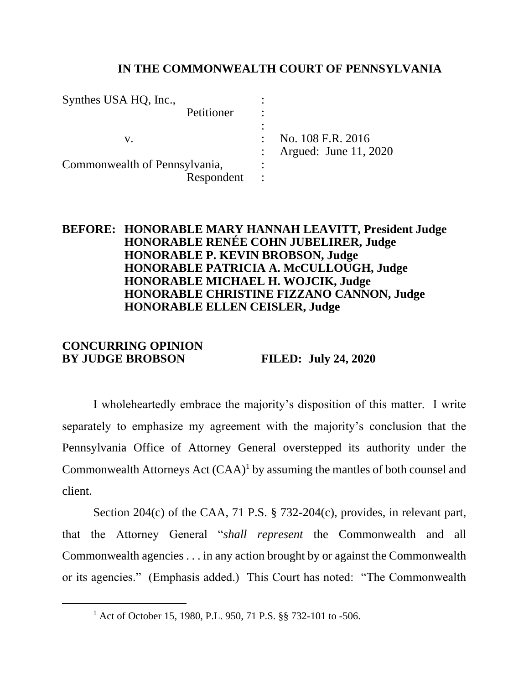# **IN THE COMMONWEALTH COURT OF PENNSYLVANIA**

| Synthes USA HQ, Inc.,         |   |                       |
|-------------------------------|---|-----------------------|
| Petitioner                    |   |                       |
|                               | ٠ |                       |
| V.                            |   | No. 108 F.R. 2016     |
|                               |   | Argued: June 11, 2020 |
| Commonwealth of Pennsylvania, | ٠ |                       |
| Respondent                    |   |                       |

# **BEFORE: HONORABLE MARY HANNAH LEAVITT, President Judge HONORABLE RENÉE COHN JUBELIRER, Judge HONORABLE P. KEVIN BROBSON, Judge HONORABLE PATRICIA A. McCULLOUGH, Judge HONORABLE MICHAEL H. WOJCIK, Judge HONORABLE CHRISTINE FIZZANO CANNON, Judge HONORABLE ELLEN CEISLER, Judge**

# **CONCURRING OPINION BY JUDGE BROBSON FILED: July 24, 2020**

I wholeheartedly embrace the majority's disposition of this matter. I write separately to emphasize my agreement with the majority's conclusion that the Pennsylvania Office of Attorney General overstepped its authority under the Commonwealth Attorneys Act  $(CAA)^1$  by assuming the mantles of both counsel and client.

Section 204(c) of the CAA, 71 P.S. § 732-204(c), provides, in relevant part, that the Attorney General "*shall represent* the Commonwealth and all Commonwealth agencies . . . in any action brought by or against the Commonwealth or its agencies." (Emphasis added.) This Court has noted: "The Commonwealth

<sup>&</sup>lt;sup>1</sup> Act of October 15, 1980, P.L. 950, 71 P.S. §§ 732-101 to -506.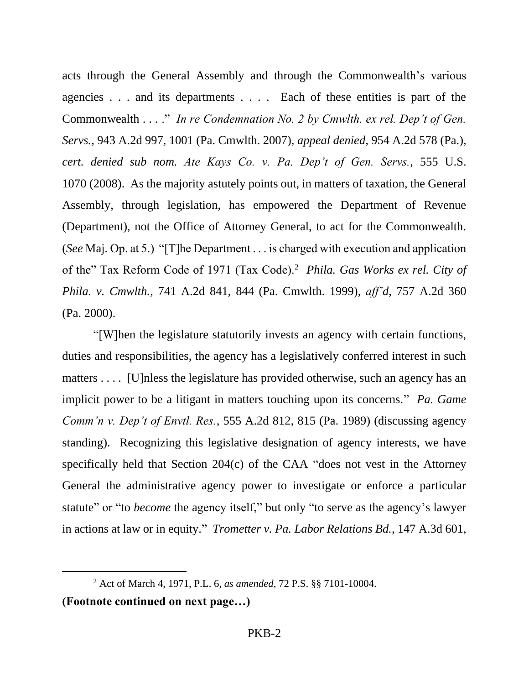acts through the General Assembly and through the Commonwealth's various agencies . . . and its departments . . . . Each of these entities is part of the Commonwealth . . . ." *In re Condemnation No. 2 by Cmwlth. ex rel. Dep't of Gen. Servs.*, 943 A.2d 997, 1001 (Pa. Cmwlth. 2007), *appeal denied*, 954 A.2d 578 (Pa.), *cert. denied sub nom. Ate Kays Co. v. Pa. Dep't of Gen. Servs.*, 555 U.S. 1070 (2008). As the majority astutely points out, in matters of taxation, the General Assembly, through legislation, has empowered the Department of Revenue (Department), not the Office of Attorney General, to act for the Commonwealth. (*See* Maj. Op. at 5.) "[T]he Department . . . is charged with execution and application of the" Tax Reform Code of 1971 (Tax Code).<sup>2</sup> *Phila. Gas Works ex rel. City of Phila. v. Cmwlth.*, 741 A.2d 841, 844 (Pa. Cmwlth. 1999), *aff'd*, 757 A.2d 360 (Pa. 2000).

"[W]hen the legislature statutorily invests an agency with certain functions, duties and responsibilities, the agency has a legislatively conferred interest in such matters .... [U]nless the legislature has provided otherwise, such an agency has an implicit power to be a litigant in matters touching upon its concerns." *Pa. Game Comm'n v. Dep't of Envtl. Res.*, 555 A.2d 812, 815 (Pa. 1989) (discussing agency standing). Recognizing this legislative designation of agency interests, we have specifically held that Section 204(c) of the CAA "does not vest in the Attorney General the administrative agency power to investigate or enforce a particular statute" or "to *become* the agency itself," but only "to serve as the agency's lawyer in actions at law or in equity." *Trometter v. Pa. Labor Relations Bd.*, 147 A.3d 601,

<sup>2</sup> Act of March 4, 1971, P.L. 6, *as amended*, 72 P.S. §§ 7101-10004. **(Footnote continued on next page…)**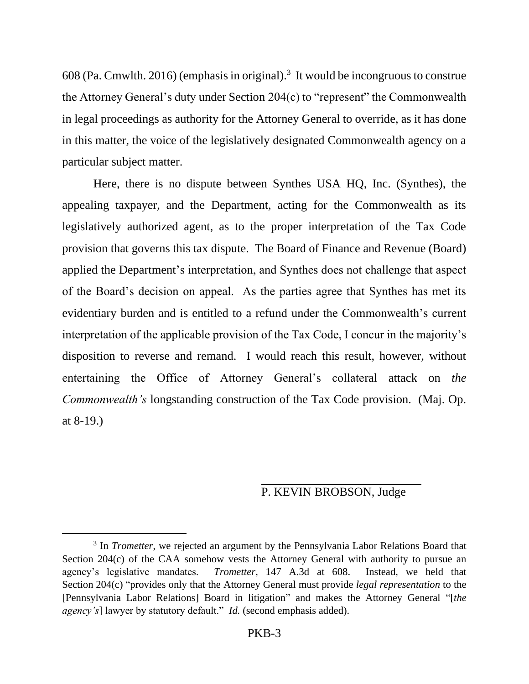608 (Pa. Cmwlth. 2016) (emphasis in original).<sup>3</sup> It would be incongruous to construe the Attorney General's duty under Section 204(c) to "represent" the Commonwealth in legal proceedings as authority for the Attorney General to override, as it has done in this matter, the voice of the legislatively designated Commonwealth agency on a particular subject matter.

Here, there is no dispute between Synthes USA HQ, Inc. (Synthes), the appealing taxpayer, and the Department, acting for the Commonwealth as its legislatively authorized agent, as to the proper interpretation of the Tax Code provision that governs this tax dispute. The Board of Finance and Revenue (Board) applied the Department's interpretation, and Synthes does not challenge that aspect of the Board's decision on appeal. As the parties agree that Synthes has met its evidentiary burden and is entitled to a refund under the Commonwealth's current interpretation of the applicable provision of the Tax Code, I concur in the majority's disposition to reverse and remand. I would reach this result, however, without entertaining the Office of Attorney General's collateral attack on *the Commonwealth's* longstanding construction of the Tax Code provision. (Maj. Op. at 8-19.)

# P. KEVIN BROBSON, Judge

<sup>&</sup>lt;sup>3</sup> In *Trometter*, we rejected an argument by the Pennsylvania Labor Relations Board that Section 204(c) of the CAA somehow vests the Attorney General with authority to pursue an agency's legislative mandates. *Trometter*, 147 A.3d at 608. Instead, we held that Section 204(c) "provides only that the Attorney General must provide *legal representation* to the [Pennsylvania Labor Relations] Board in litigation" and makes the Attorney General "[*the agency's*] lawyer by statutory default." *Id.* (second emphasis added).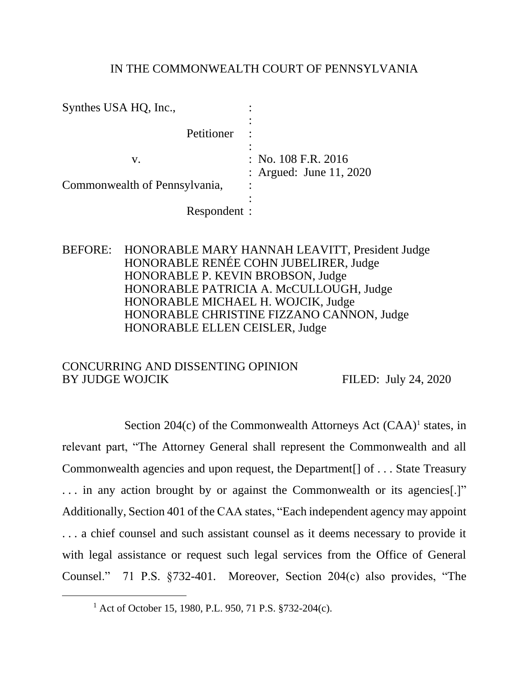# IN THE COMMONWEALTH COURT OF PENNSYLVANIA

| Synthes USA HQ, Inc.,         |                         |
|-------------------------------|-------------------------|
|                               |                         |
| Petitioner                    |                         |
|                               |                         |
| v.                            | : No. $108$ F.R. $2016$ |
|                               | : Argued: June 11, 2020 |
| Commonwealth of Pennsylvania, |                         |
|                               |                         |
| Respondent :                  |                         |

# BEFORE: HONORABLE MARY HANNAH LEAVITT, President Judge HONORABLE RENÉE COHN JUBELIRER, Judge HONORABLE P. KEVIN BROBSON, Judge HONORABLE PATRICIA A. McCULLOUGH, Judge HONORABLE MICHAEL H. WOJCIK, Judge HONORABLE CHRISTINE FIZZANO CANNON, Judge HONORABLE ELLEN CEISLER, Judge

## CONCURRING AND DISSENTING OPINION BY JUDGE WOJCIK FILED: July 24, 2020

Section  $204(c)$  of the Commonwealth Attorneys Act  $(CAA)^1$  states, in relevant part, "The Attorney General shall represent the Commonwealth and all Commonwealth agencies and upon request, the Department[] of . . . State Treasury ... in any action brought by or against the Commonwealth or its agencies.<sup>[1]</sup> Additionally, Section 401 of the CAA states, "Each independent agency may appoint . . . a chief counsel and such assistant counsel as it deems necessary to provide it with legal assistance or request such legal services from the Office of General Counsel." 71 P.S. §732-401. Moreover, Section 204(c) also provides, "The

<sup>&</sup>lt;sup>1</sup> Act of October 15, 1980, P.L. 950, 71 P.S. §732-204(c).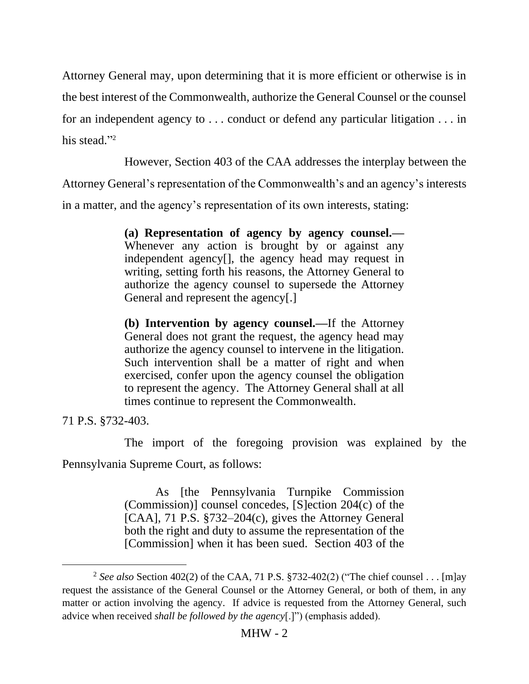Attorney General may, upon determining that it is more efficient or otherwise is in the best interest of the Commonwealth, authorize the General Counsel or the counsel for an independent agency to . . . conduct or defend any particular litigation . . . in his stead."<sup>2</sup>

However, Section 403 of the CAA addresses the interplay between the

Attorney General's representation of the Commonwealth's and an agency's interests

in a matter, and the agency's representation of its own interests, stating:

**(a) Representation of agency by agency counsel.—** Whenever any action is brought by or against any independent agency[], the agency head may request in writing, setting forth his reasons, the Attorney General to authorize the agency counsel to supersede the Attorney General and represent the agency[.]

**(b) Intervention by agency counsel.—**If the Attorney General does not grant the request, the agency head may authorize the agency counsel to intervene in the litigation. Such intervention shall be a matter of right and when exercised, confer upon the agency counsel the obligation to represent the agency. The Attorney General shall at all times continue to represent the Commonwealth.

71 P.S. §732-403.

The import of the foregoing provision was explained by the Pennsylvania Supreme Court, as follows:

> As [the Pennsylvania Turnpike Commission (Commission)] counsel concedes, [S]ection 204(c) of the [CAA], 71 P.S. §732–204(c), gives the Attorney General both the right and duty to assume the representation of the [Commission] when it has been sued. Section 403 of the

<sup>2</sup> *See also* Section 402(2) of the CAA, 71 P.S. §732-402(2) ("The chief counsel . . . [m]ay request the assistance of the General Counsel or the Attorney General, or both of them, in any matter or action involving the agency. If advice is requested from the Attorney General, such advice when received *shall be followed by the agency*[.]") (emphasis added).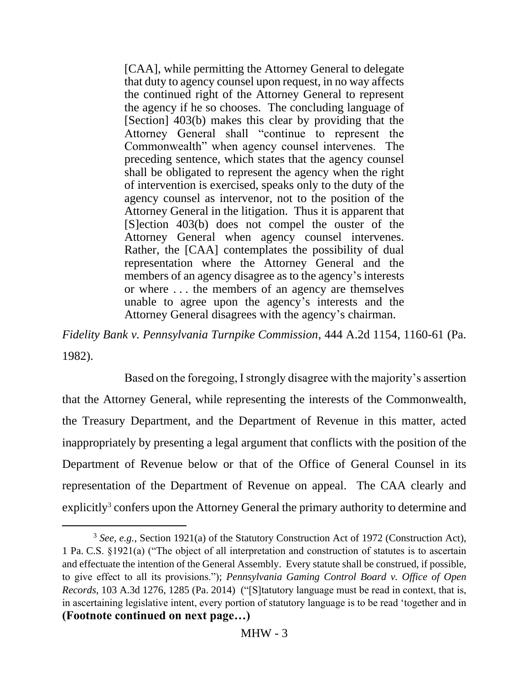[CAA], while permitting the Attorney General to delegate that duty to agency counsel upon request, in no way affects the continued right of the Attorney General to represent the agency if he so chooses. The concluding language of [Section] 403(b) makes this clear by providing that the Attorney General shall "continue to represent the Commonwealth" when agency counsel intervenes. The preceding sentence, which states that the agency counsel shall be obligated to represent the agency when the right of intervention is exercised, speaks only to the duty of the agency counsel as intervenor, not to the position of the Attorney General in the litigation. Thus it is apparent that [S]ection 403(b) does not compel the ouster of the Attorney General when agency counsel intervenes. Rather, the [CAA] contemplates the possibility of dual representation where the Attorney General and the members of an agency disagree as to the agency's interests or where . . . the members of an agency are themselves unable to agree upon the agency's interests and the Attorney General disagrees with the agency's chairman.

*Fidelity Bank v. Pennsylvania Turnpike Commission*, 444 A.2d 1154, 1160-61 (Pa. 1982).

Based on the foregoing, I strongly disagree with the majority's assertion that the Attorney General, while representing the interests of the Commonwealth, the Treasury Department, and the Department of Revenue in this matter, acted inappropriately by presenting a legal argument that conflicts with the position of the Department of Revenue below or that of the Office of General Counsel in its representation of the Department of Revenue on appeal. The CAA clearly and explicitly<sup>3</sup> confers upon the Attorney General the primary authority to determine and

<sup>&</sup>lt;sup>3</sup> See, e.g., Section 1921(a) of the Statutory Construction Act of 1972 (Construction Act), 1 Pa. C.S. §1921(a) ("The object of all interpretation and construction of statutes is to ascertain and effectuate the intention of the General Assembly. Every statute shall be construed, if possible, to give effect to all its provisions."); *Pennsylvania Gaming Control Board v. Office of Open Records*, 103 A.3d 1276, 1285 (Pa. 2014) ("[S]tatutory language must be read in context, that is, in ascertaining legislative intent, every portion of statutory language is to be read 'together and in **(Footnote continued on next page…)**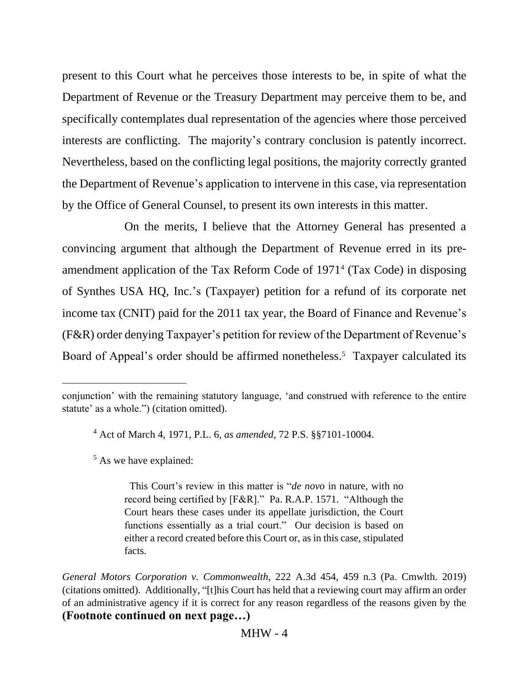present to this Court what he perceives those interests to be, in spite of what the Department of Revenue or the Treasury Department may perceive them to be, and specifically contemplates dual representation of the agencies where those perceived interests are conflicting. The majority's contrary conclusion is patently incorrect. Nevertheless, based on the conflicting legal positions, the majority correctly granted the Department of Revenue's application to intervene in this case, via representation by the Office of General Counsel, to present its own interests in this matter.

On the merits, I believe that the Attorney General has presented a convincing argument that although the Department of Revenue erred in its preamendment application of the Tax Reform Code of 1971<sup>4</sup> (Tax Code) in disposing of Synthes USA HQ, Inc.'s (Taxpayer) petition for a refund of its corporate net income tax (CNIT) paid for the 2011 tax year, the Board of Finance and Revenue's (F&R) order denying Taxpayer's petition for review of the Department of Revenue's Board of Appeal's order should be affirmed nonetheless. 5 Taxpayer calculated its

<sup>4</sup> Act of March 4, 1971, P.L. 6, *as amended*, 72 P.S. §§7101-10004.

<sup>5</sup> As we have explained:

 This Court's review in this matter is "*de novo* in nature, with no record being certified by [F&R]." Pa. R.A.P. 1571. "Although the Court hears these cases under its appellate jurisdiction, the Court functions essentially as a trial court." Our decision is based on either a record created before this Court or, as in this case, stipulated facts.

conjunction' with the remaining statutory language, 'and construed with reference to the entire statute' as a whole.") (citation omitted).

*General Motors Corporation v. Commonwealth*, 222 A.3d 454, 459 n.3 (Pa. Cmwlth. 2019) (citations omitted). Additionally, "[t]his Court has held that a reviewing court may affirm an order of an administrative agency if it is correct for any reason regardless of the reasons given by the **(Footnote continued on next page…)**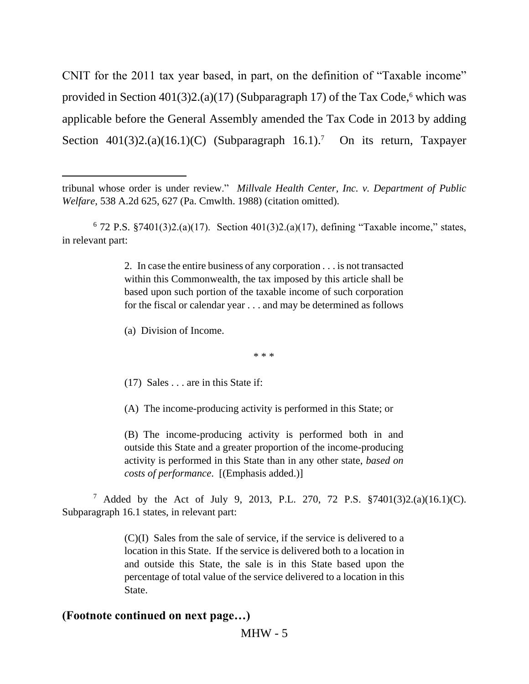CNIT for the 2011 tax year based, in part, on the definition of "Taxable income" provided in Section 401(3)2.(a)(17) (Subparagraph 17) of the Tax Code,<sup>6</sup> which was applicable before the General Assembly amended the Tax Code in 2013 by adding Section 401(3)2.(a)(16.1)(C) (Subparagraph 16.1).<sup>7</sup> On its return, Taxpayer

2. In case the entire business of any corporation . . . is not transacted within this Commonwealth, the tax imposed by this article shall be based upon such portion of the taxable income of such corporation for the fiscal or calendar year . . . and may be determined as follows

(a) Division of Income.

\* \* \*

(17) Sales . . . are in this State if:

(A) The income-producing activity is performed in this State; or

(B) The income-producing activity is performed both in and outside this State and a greater proportion of the income-producing activity is performed in this State than in any other state, *based on costs of performance*. [(Emphasis added.)]

<sup>7</sup> Added by the Act of July 9, 2013, P.L. 270, 72 P.S. §7401(3)2.(a)(16.1)(C). Subparagraph 16.1 states, in relevant part:

> (C)(I) Sales from the sale of service, if the service is delivered to a location in this State. If the service is delivered both to a location in and outside this State, the sale is in this State based upon the percentage of total value of the service delivered to a location in this State.

# **(Footnote continued on next page…)**

MHW - 5

tribunal whose order is under review." *Millvale Health Center, Inc. v. Department of Public Welfare*, 538 A.2d 625, 627 (Pa. Cmwlth. 1988) (citation omitted).

 $6$  72 P.S. §7401(3)2.(a)(17). Section 401(3)2.(a)(17), defining "Taxable income," states, in relevant part: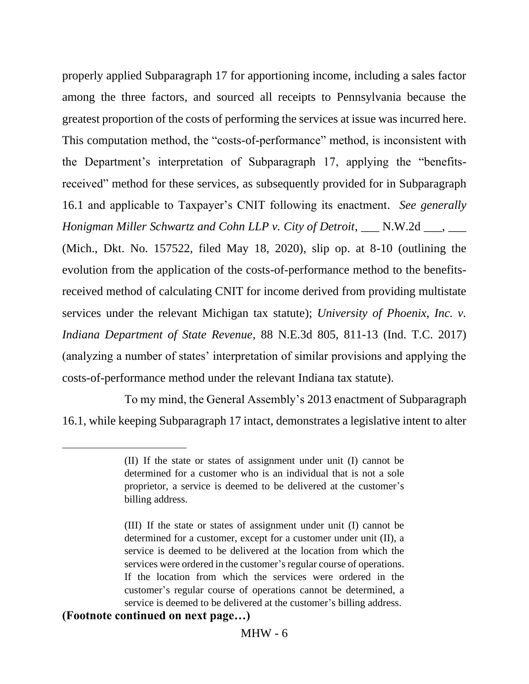properly applied Subparagraph 17 for apportioning income, including a sales factor among the three factors, and sourced all receipts to Pennsylvania because the greatest proportion of the costs of performing the services at issue was incurred here. This computation method, the "costs-of-performance" method, is inconsistent with the Department's interpretation of Subparagraph 17, applying the "benefitsreceived" method for these services, as subsequently provided for in Subparagraph 16.1 and applicable to Taxpayer's CNIT following its enactment. *See generally Honigman Miller Schwartz and Cohn LLP v. City of Detroit*, \_\_\_ N.W.2d \_\_\_, \_\_\_ (Mich., Dkt. No. 157522, filed May 18, 2020), slip op. at 8-10 (outlining the evolution from the application of the costs-of-performance method to the benefitsreceived method of calculating CNIT for income derived from providing multistate services under the relevant Michigan tax statute); *University of Phoenix, Inc. v. Indiana Department of State Revenue*, 88 N.E.3d 805, 811-13 (Ind. T.C. 2017) (analyzing a number of states' interpretation of similar provisions and applying the costs-of-performance method under the relevant Indiana tax statute).

To my mind, the General Assembly's 2013 enactment of Subparagraph 16.1, while keeping Subparagraph 17 intact, demonstrates a legislative intent to alter

## **(Footnote continued on next page…)**

<sup>(</sup>II) If the state or states of assignment under unit (I) cannot be determined for a customer who is an individual that is not a sole proprietor, a service is deemed to be delivered at the customer's billing address.

<sup>(</sup>III) If the state or states of assignment under unit (I) cannot be determined for a customer, except for a customer under unit (II), a service is deemed to be delivered at the location from which the services were ordered in the customer's regular course of operations. If the location from which the services were ordered in the customer's regular course of operations cannot be determined, a service is deemed to be delivered at the customer's billing address.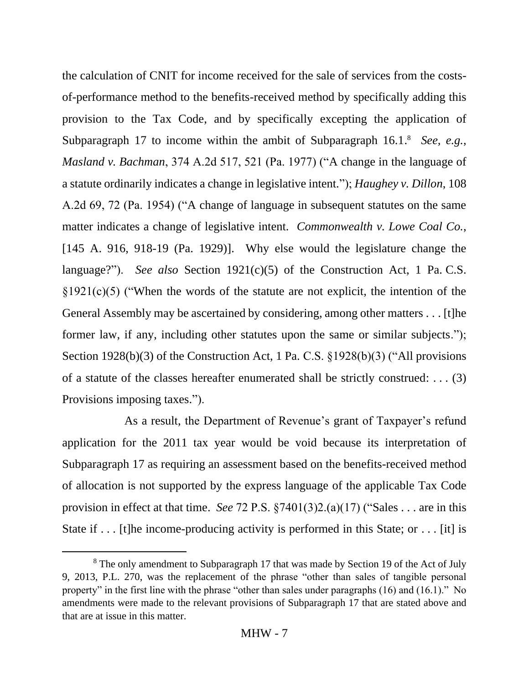the calculation of CNIT for income received for the sale of services from the costsof-performance method to the benefits-received method by specifically adding this provision to the Tax Code, and by specifically excepting the application of Subparagraph 17 to income within the ambit of Subparagraph 16.1. <sup>8</sup> *See, e.g.*, *Masland v. Bachman*, 374 A.2d 517, 521 (Pa. 1977) ("A change in the language of a statute ordinarily indicates a change in legislative intent."); *Haughey v. Dillon*, 108 A.2d 69, 72 (Pa. 1954) ("A change of language in subsequent statutes on the same matter indicates a change of legislative intent. *Commonwealth v. Lowe Coal Co.*, [145 A. 916, 918-19 (Pa. 1929)]. Why else would the legislature change the language?"). *See also* Section 1921(c)(5) of the Construction Act, 1 Pa. C.S.  $\S1921(c)(5)$  ("When the words of the statute are not explicit, the intention of the General Assembly may be ascertained by considering, among other matters . . . [t]he former law, if any, including other statutes upon the same or similar subjects."); Section 1928(b)(3) of the Construction Act, 1 Pa. C.S. §1928(b)(3) ("All provisions of a statute of the classes hereafter enumerated shall be strictly construed: . . . (3) Provisions imposing taxes.").

As a result, the Department of Revenue's grant of Taxpayer's refund application for the 2011 tax year would be void because its interpretation of Subparagraph 17 as requiring an assessment based on the benefits-received method of allocation is not supported by the express language of the applicable Tax Code provision in effect at that time. *See* 72 P.S. §7401(3)2.(a)(17) ("Sales . . . are in this State if ... [t]he income-producing activity is performed in this State; or ... [it] is

<sup>&</sup>lt;sup>8</sup> The only amendment to Subparagraph 17 that was made by Section 19 of the Act of July 9, 2013, P.L. 270, was the replacement of the phrase "other than sales of tangible personal property" in the first line with the phrase "other than sales under paragraphs (16) and (16.1)." No amendments were made to the relevant provisions of Subparagraph 17 that are stated above and that are at issue in this matter.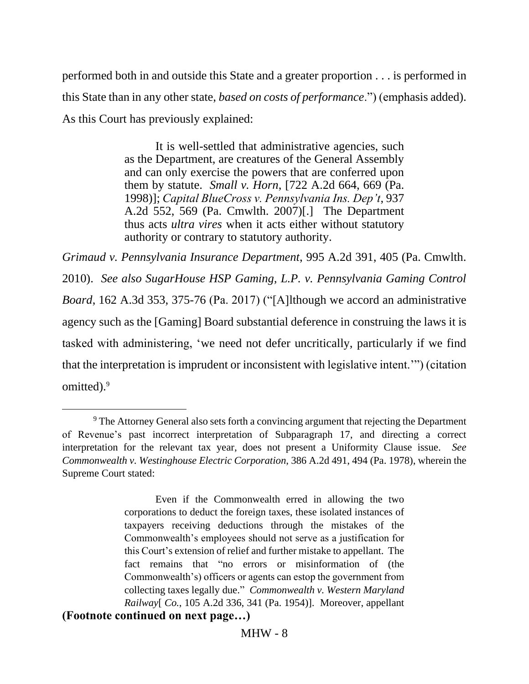performed both in and outside this State and a greater proportion . . . is performed in this State than in any other state, *based on costs of performance*.") (emphasis added). As this Court has previously explained:

> It is well-settled that administrative agencies, such as the Department, are creatures of the General Assembly and can only exercise the powers that are conferred upon them by statute. *Small v. Horn*, [722 A.2d 664, 669 (Pa. 1998)]; *Capital BlueCross v. Pennsylvania Ins. Dep't*, 937 A.2d 552, 569 (Pa. Cmwlth. 2007)[.] The Department thus acts *ultra vires* when it acts either without statutory authority or contrary to statutory authority.

*Grimaud v. Pennsylvania Insurance Department*, 995 A.2d 391, 405 (Pa. Cmwlth. 2010). *See also SugarHouse HSP Gaming, L.P. v. Pennsylvania Gaming Control Board*, 162 A.3d 353, 375-76 (Pa. 2017) ("[A]lthough we accord an administrative agency such as the [Gaming] Board substantial deference in construing the laws it is tasked with administering, 'we need not defer uncritically, particularly if we find that the interpretation is imprudent or inconsistent with legislative intent.'") (citation omitted).<sup>9</sup>

<sup>&</sup>lt;sup>9</sup> The Attorney General also sets forth a convincing argument that rejecting the Department of Revenue's past incorrect interpretation of Subparagraph 17, and directing a correct interpretation for the relevant tax year, does not present a Uniformity Clause issue. *See Commonwealth v. Westinghouse Electric Corporation*, 386 A.2d 491, 494 (Pa. 1978), wherein the Supreme Court stated:

Even if the Commonwealth erred in allowing the two corporations to deduct the foreign taxes, these isolated instances of taxpayers receiving deductions through the mistakes of the Commonwealth's employees should not serve as a justification for this Court's extension of relief and further mistake to appellant. The fact remains that "no errors or misinformation of (the Commonwealth's) officers or agents can estop the government from collecting taxes legally due." *Commonwealth v. Western Maryland Railway*[ *Co.*, 105 A.2d 336, 341 (Pa. 1954)]. Moreover, appellant **(Footnote continued on next page…)**